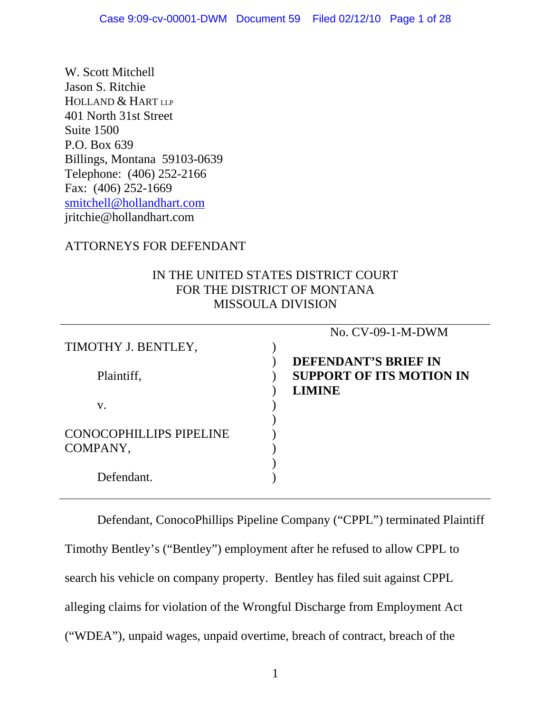W. Scott Mitchell Jason S. Ritchie HOLLAND & HART LLP 401 North 31st Street Suite 1500 P.O. Box 639 Billings, Montana 59103-0639 Telephone: (406) 252-2166 Fax: (406) 252-1669 [smitchell@hollandhart.com](mailto:smitchell@hollandhart.com) jritchie@hollandhart.com

#### ATTORNEYS FOR DEFENDANT

#### IN THE UNITED STATES DISTRICT COURT FOR THE DISTRICT OF MONTANA MISSOULA DIVISION

| No. CV-09-1-M-DWM                                              |
|----------------------------------------------------------------|
|                                                                |
| <b>DEFENDANT'S BRIEF IN</b><br><b>SUPPORT OF ITS MOTION IN</b> |
| <b>LIMINE</b>                                                  |
|                                                                |
|                                                                |
|                                                                |

Defendant, ConocoPhillips Pipeline Company ("CPPL") terminated Plaintiff Timothy Bentley's ("Bentley") employment after he refused to allow CPPL to search his vehicle on company property. Bentley has filed suit against CPPL alleging claims for violation of the Wrongful Discharge from Employment Act ("WDEA"), unpaid wages, unpaid overtime, breach of contract, breach of the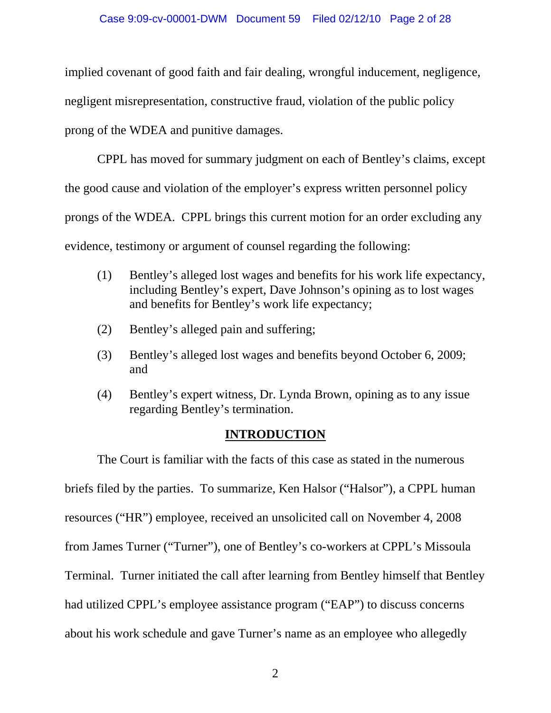#### Case 9:09-cv-00001-DWM Document 59 Filed 02/12/10 Page 2 of 28

implied covenant of good faith and fair dealing, wrongful inducement, negligence, negligent misrepresentation, constructive fraud, violation of the public policy prong of the WDEA and punitive damages.

CPPL has moved for summary judgment on each of Bentley's claims, except the good cause and violation of the employer's express written personnel policy prongs of the WDEA. CPPL brings this current motion for an order excluding any evidence, testimony or argument of counsel regarding the following:

- (1) Bentley's alleged lost wages and benefits for his work life expectancy, including Bentley's expert, Dave Johnson's opining as to lost wages and benefits for Bentley's work life expectancy;
- (2) Bentley's alleged pain and suffering;
- (3) Bentley's alleged lost wages and benefits beyond October 6, 2009; and
- (4) Bentley's expert witness, Dr. Lynda Brown, opining as to any issue regarding Bentley's termination.

#### **INTRODUCTION**

The Court is familiar with the facts of this case as stated in the numerous briefs filed by the parties. To summarize, Ken Halsor ("Halsor"), a CPPL human resources ("HR") employee, received an unsolicited call on November 4, 2008 from James Turner ("Turner"), one of Bentley's co-workers at CPPL's Missoula Terminal. Turner initiated the call after learning from Bentley himself that Bentley had utilized CPPL's employee assistance program ("EAP") to discuss concerns about his work schedule and gave Turner's name as an employee who allegedly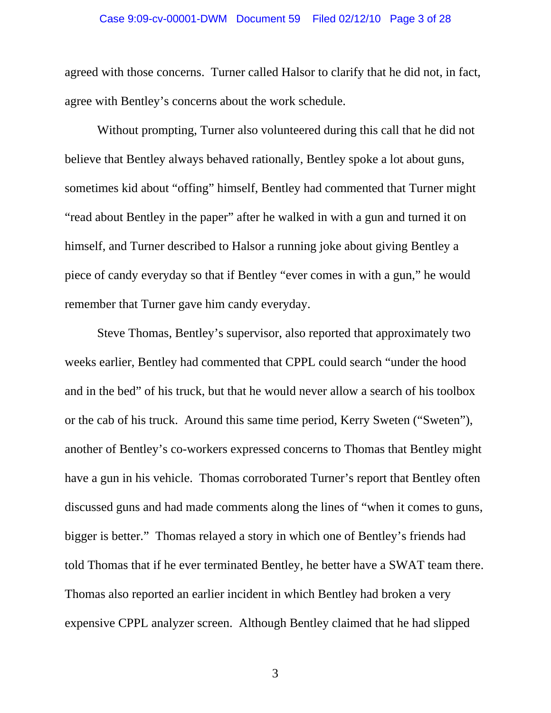#### Case 9:09-cv-00001-DWM Document 59 Filed 02/12/10 Page 3 of 28

agreed with those concerns. Turner called Halsor to clarify that he did not, in fact, agree with Bentley's concerns about the work schedule.

Without prompting, Turner also volunteered during this call that he did not believe that Bentley always behaved rationally, Bentley spoke a lot about guns, sometimes kid about "offing" himself, Bentley had commented that Turner might "read about Bentley in the paper" after he walked in with a gun and turned it on himself, and Turner described to Halsor a running joke about giving Bentley a piece of candy everyday so that if Bentley "ever comes in with a gun," he would remember that Turner gave him candy everyday.

Steve Thomas, Bentley's supervisor, also reported that approximately two weeks earlier, Bentley had commented that CPPL could search "under the hood and in the bed" of his truck, but that he would never allow a search of his toolbox or the cab of his truck. Around this same time period, Kerry Sweten ("Sweten"), another of Bentley's co-workers expressed concerns to Thomas that Bentley might have a gun in his vehicle. Thomas corroborated Turner's report that Bentley often discussed guns and had made comments along the lines of "when it comes to guns, bigger is better." Thomas relayed a story in which one of Bentley's friends had told Thomas that if he ever terminated Bentley, he better have a SWAT team there. Thomas also reported an earlier incident in which Bentley had broken a very expensive CPPL analyzer screen. Although Bentley claimed that he had slipped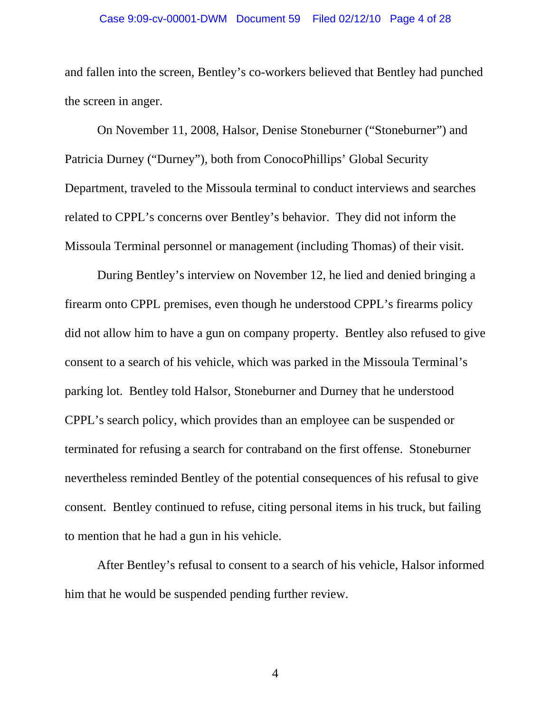#### Case 9:09-cv-00001-DWM Document 59 Filed 02/12/10 Page 4 of 28

and fallen into the screen, Bentley's co-workers believed that Bentley had punched the screen in anger.

On November 11, 2008, Halsor, Denise Stoneburner ("Stoneburner") and Patricia Durney ("Durney"), both from ConocoPhillips' Global Security Department, traveled to the Missoula terminal to conduct interviews and searches related to CPPL's concerns over Bentley's behavior. They did not inform the Missoula Terminal personnel or management (including Thomas) of their visit.

During Bentley's interview on November 12, he lied and denied bringing a firearm onto CPPL premises, even though he understood CPPL's firearms policy did not allow him to have a gun on company property. Bentley also refused to give consent to a search of his vehicle, which was parked in the Missoula Terminal's parking lot. Bentley told Halsor, Stoneburner and Durney that he understood CPPL's search policy, which provides than an employee can be suspended or terminated for refusing a search for contraband on the first offense. Stoneburner nevertheless reminded Bentley of the potential consequences of his refusal to give consent. Bentley continued to refuse, citing personal items in his truck, but failing to mention that he had a gun in his vehicle.

After Bentley's refusal to consent to a search of his vehicle, Halsor informed him that he would be suspended pending further review.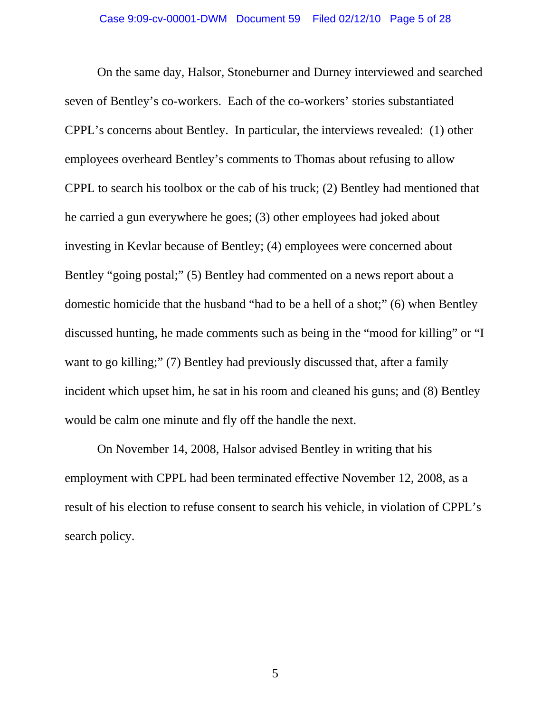On the same day, Halsor, Stoneburner and Durney interviewed and searched seven of Bentley's co-workers. Each of the co-workers' stories substantiated CPPL's concerns about Bentley. In particular, the interviews revealed: (1) other employees overheard Bentley's comments to Thomas about refusing to allow CPPL to search his toolbox or the cab of his truck; (2) Bentley had mentioned that he carried a gun everywhere he goes; (3) other employees had joked about investing in Kevlar because of Bentley; (4) employees were concerned about Bentley "going postal;" (5) Bentley had commented on a news report about a domestic homicide that the husband "had to be a hell of a shot;" (6) when Bentley discussed hunting, he made comments such as being in the "mood for killing" or "I want to go killing;" (7) Bentley had previously discussed that, after a family incident which upset him, he sat in his room and cleaned his guns; and (8) Bentley would be calm one minute and fly off the handle the next.

On November 14, 2008, Halsor advised Bentley in writing that his employment with CPPL had been terminated effective November 12, 2008, as a result of his election to refuse consent to search his vehicle, in violation of CPPL's search policy.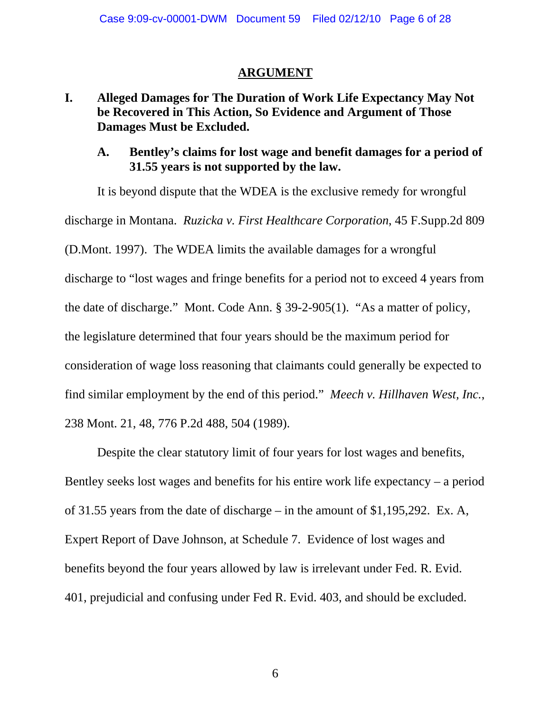#### **ARGUMENT**

# **I. Alleged Damages for The Duration of Work Life Expectancy May Not be Recovered in This Action, So Evidence and Argument of Those Damages Must be Excluded.**

## **A. Bentley's claims for lost wage and benefit damages for a period of 31.55 years is not supported by the law.**

It is beyond dispute that the WDEA is the exclusive remedy for wrongful discharge in Montana. *Ruzicka v. First Healthcare Corporation*, 45 F.Supp.2d 809 (D.Mont. 1997). The WDEA limits the available damages for a wrongful discharge to "lost wages and fringe benefits for a period not to exceed 4 years from the date of discharge." Mont. Code Ann. § 39-2-905(1). "As a matter of policy, the legislature determined that four years should be the maximum period for consideration of wage loss reasoning that claimants could generally be expected to find similar employment by the end of this period." *Meech v. Hillhaven West, Inc.*, 238 Mont. 21, 48, 776 P.2d 488, 504 (1989).

Despite the clear statutory limit of four years for lost wages and benefits, Bentley seeks lost wages and benefits for his entire work life expectancy – a period of 31.55 years from the date of discharge – in the amount of \$1,195,292. Ex. A, Expert Report of Dave Johnson, at Schedule 7. Evidence of lost wages and benefits beyond the four years allowed by law is irrelevant under Fed. R. Evid. 401, prejudicial and confusing under Fed R. Evid. 403, and should be excluded.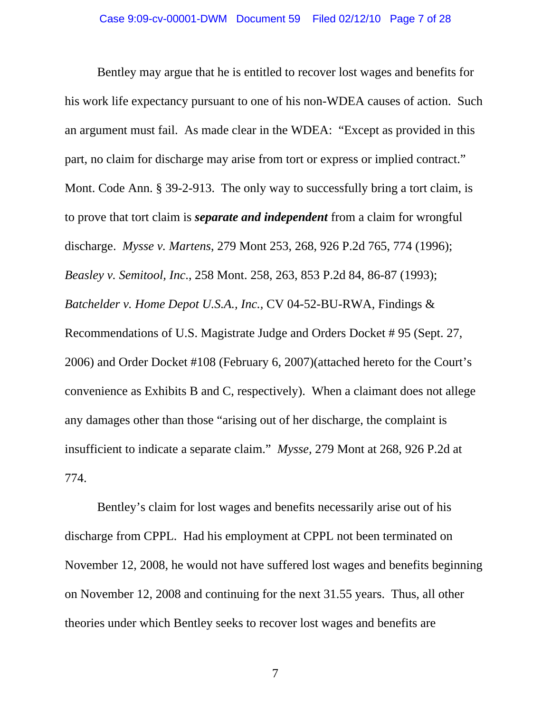Bentley may argue that he is entitled to recover lost wages and benefits for his work life expectancy pursuant to one of his non-WDEA causes of action. Such an argument must fail. As made clear in the WDEA: "Except as provided in this part, no claim for discharge may arise from tort or express or implied contract." Mont. Code Ann. § 39-2-913. The only way to successfully bring a tort claim, is to prove that tort claim is *separate and independent* from a claim for wrongful discharge. *Mysse v. Martens*, 279 Mont 253, 268, 926 P.2d 765, 774 (1996); *Beasley v. Semitool, Inc*., 258 Mont. 258, 263, 853 P.2d 84, 86-87 (1993); *Batchelder v. Home Depot U.S.A., Inc.,* CV 04-52-BU-RWA, Findings & Recommendations of U.S. Magistrate Judge and Orders Docket # 95 (Sept. 27, 2006) and Order Docket #108 (February 6, 2007)(attached hereto for the Court's convenience as Exhibits B and C, respectively). When a claimant does not allege any damages other than those "arising out of her discharge, the complaint is insufficient to indicate a separate claim." *Mysse,* 279 Mont at 268, 926 P.2d at 774.

Bentley's claim for lost wages and benefits necessarily arise out of his discharge from CPPL. Had his employment at CPPL not been terminated on November 12, 2008, he would not have suffered lost wages and benefits beginning on November 12, 2008 and continuing for the next 31.55 years. Thus, all other theories under which Bentley seeks to recover lost wages and benefits are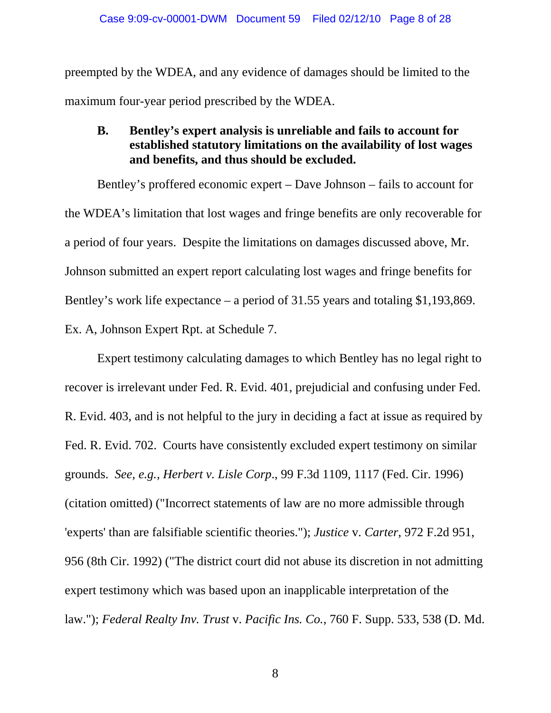preempted by the WDEA, and any evidence of damages should be limited to the maximum four-year period prescribed by the WDEA.

#### **B. Bentley's expert analysis is unreliable and fails to account for established statutory limitations on the availability of lost wages and benefits, and thus should be excluded.**

Bentley's proffered economic expert – Dave Johnson – fails to account for the WDEA's limitation that lost wages and fringe benefits are only recoverable for a period of four years. Despite the limitations on damages discussed above, Mr. Johnson submitted an expert report calculating lost wages and fringe benefits for Bentley's work life expectance – a period of 31.55 years and totaling \$1,193,869. Ex. A, Johnson Expert Rpt. at Schedule 7.

Expert testimony calculating damages to which Bentley has no legal right to recover is irrelevant under Fed. R. Evid. 401, prejudicial and confusing under Fed. R. Evid. 403, and is not helpful to the jury in deciding a fact at issue as required by Fed. R. Evid. 702. Courts have consistently excluded expert testimony on similar grounds. *See, e.g., Herbert v. Lisle Corp*., 99 F.3d 1109, 1117 (Fed. Cir. 1996) (citation omitted) ("Incorrect statements of law are no more admissible through 'experts' than are falsifiable scientific theories."); *Justice* v. *Carter*, 972 F.2d 951, 956 (8th Cir. 1992) ("The district court did not abuse its discretion in not admitting expert testimony which was based upon an inapplicable interpretation of the law."); *Federal Realty Inv. Trust* v. *Pacific Ins. Co.*, 760 F. Supp. 533, 538 (D. Md.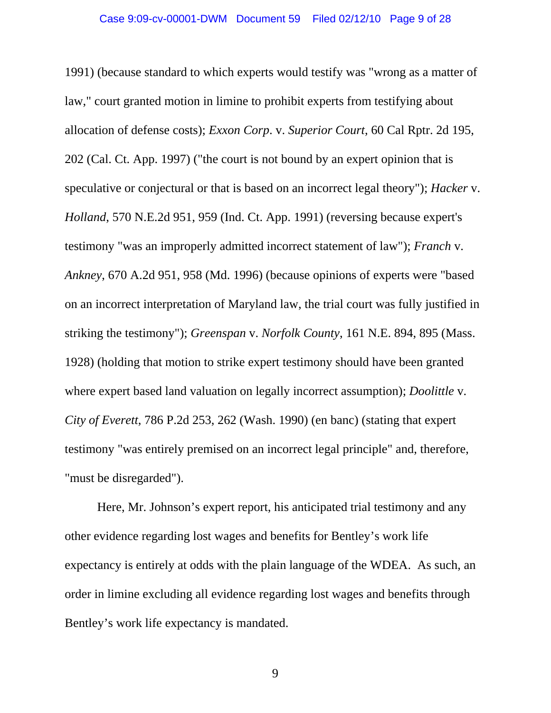1991) (because standard to which experts would testify was "wrong as a matter of law," court granted motion in limine to prohibit experts from testifying about allocation of defense costs); *Exxon Corp*. v. *Superior Court*, 60 Cal Rptr. 2d 195, 202 (Cal. Ct. App. 1997) ("the court is not bound by an expert opinion that is speculative or conjectural or that is based on an incorrect legal theory"); *Hacker* v. *Holland*, 570 N.E.2d 951, 959 (Ind. Ct. App. 1991) (reversing because expert's testimony "was an improperly admitted incorrect statement of law"); *Franch* v. *Ankney*, 670 A.2d 951, 958 (Md. 1996) (because opinions of experts were "based on an incorrect interpretation of Maryland law, the trial court was fully justified in striking the testimony"); *Greenspan* v. *Norfolk County*, 161 N.E. 894, 895 (Mass. 1928) (holding that motion to strike expert testimony should have been granted where expert based land valuation on legally incorrect assumption); *Doolittle* v. *City of Everett*, 786 P.2d 253, 262 (Wash. 1990) (en banc) (stating that expert testimony "was entirely premised on an incorrect legal principle" and, therefore, "must be disregarded").

Here, Mr. Johnson's expert report, his anticipated trial testimony and any other evidence regarding lost wages and benefits for Bentley's work life expectancy is entirely at odds with the plain language of the WDEA. As such, an order in limine excluding all evidence regarding lost wages and benefits through Bentley's work life expectancy is mandated.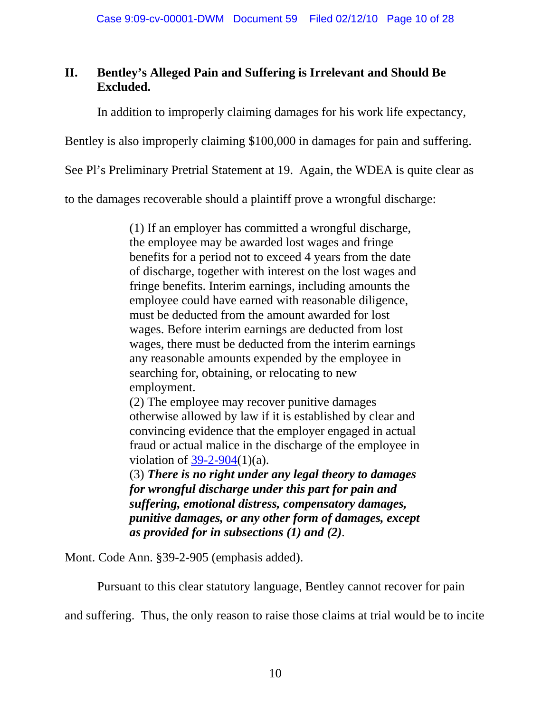# **II. Bentley's Alleged Pain and Suffering is Irrelevant and Should Be Excluded.**

In addition to improperly claiming damages for his work life expectancy,

Bentley is also improperly claiming \$100,000 in damages for pain and suffering.

See Pl's Preliminary Pretrial Statement at 19. Again, the WDEA is quite clear as

to the damages recoverable should a plaintiff prove a wrongful discharge:

(1) If an employer has committed a wrongful discharge, the employee may be awarded lost wages and fringe benefits for a period not to exceed 4 years from the date of discharge, together with interest on the lost wages and fringe benefits. Interim earnings, including amounts the employee could have earned with reasonable diligence, must be deducted from the amount awarded for lost wages. Before interim earnings are deducted from lost wages, there must be deducted from the interim earnings any reasonable amounts expended by the employee in searching for, obtaining, or relocating to new employment.

(2) The employee may recover punitive damages otherwise allowed by law if it is established by clear and convincing evidence that the employer engaged in actual fraud or actual malice in the discharge of the employee in violation of  $39-2-904(1)(a)$ .

(3) *There is no right under any legal theory to damages for wrongful discharge under this part for pain and suffering, emotional distress, compensatory damages, punitive damages, or any other form of damages, except as provided for in subsections (1) and (2).*

Mont. Code Ann. §39-2-905 (emphasis added).

Pursuant to this clear statutory language, Bentley cannot recover for pain

and suffering. Thus, the only reason to raise those claims at trial would be to incite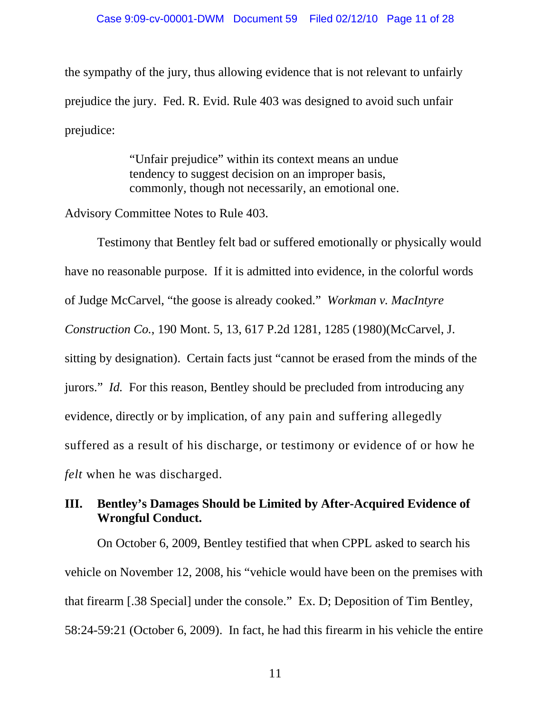the sympathy of the jury, thus allowing evidence that is not relevant to unfairly prejudice the jury. Fed. R. Evid. Rule 403 was designed to avoid such unfair prejudice:

> "Unfair prejudice" within its context means an undue tendency to suggest decision on an improper basis, commonly, though not necessarily, an emotional one.

Advisory Committee Notes to Rule 403.

Testimony that Bentley felt bad or suffered emotionally or physically would have no reasonable purpose. If it is admitted into evidence, in the colorful words of Judge McCarvel, "the goose is already cooked." *Workman v. MacIntyre Construction Co.*, 190 Mont. 5, 13, 617 P.2d 1281, 1285 (1980)(McCarvel, J. sitting by designation). Certain facts just "cannot be erased from the minds of the jurors." *Id.* For this reason, Bentley should be precluded from introducing any evidence, directly or by implication, of any pain and suffering allegedly suffered as a result of his discharge, or testimony or evidence of or how he *felt* when he was discharged.

# **III. Bentley's Damages Should be Limited by After-Acquired Evidence of Wrongful Conduct.**

On October 6, 2009, Bentley testified that when CPPL asked to search his vehicle on November 12, 2008, his "vehicle would have been on the premises with that firearm [.38 Special] under the console." Ex. D; Deposition of Tim Bentley, 58:24-59:21 (October 6, 2009). In fact, he had this firearm in his vehicle the entire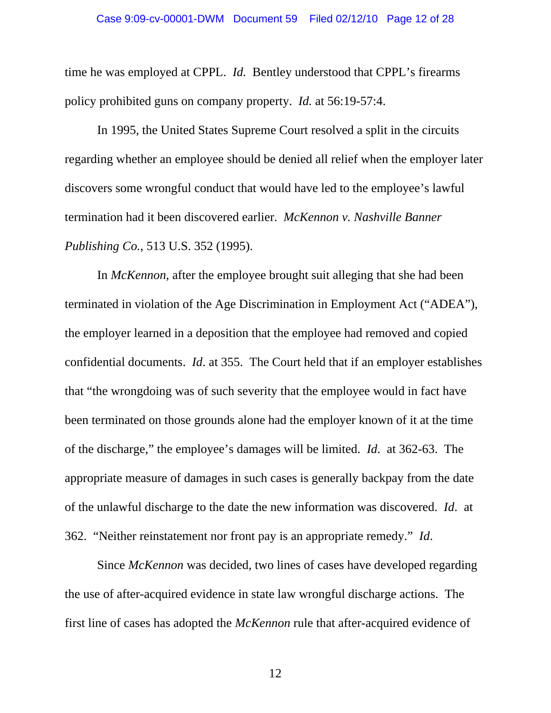time he was employed at CPPL. *Id.* Bentley understood that CPPL's firearms policy prohibited guns on company property. *Id.* at 56:19-57:4.

In 1995, the United States Supreme Court resolved a split in the circuits regarding whether an employee should be denied all relief when the employer later discovers some wrongful conduct that would have led to the employee's lawful termination had it been discovered earlier. *McKennon v. Nashville Banner Publishing Co.*, 513 U.S. 352 (1995).

In *McKennon*, after the employee brought suit alleging that she had been terminated in violation of the Age Discrimination in Employment Act ("ADEA"), the employer learned in a deposition that the employee had removed and copied confidential documents. *Id*. at 355. The Court held that if an employer establishes that "the wrongdoing was of such severity that the employee would in fact have been terminated on those grounds alone had the employer known of it at the time of the discharge," the employee's damages will be limited. *Id*. at 362-63. The appropriate measure of damages in such cases is generally backpay from the date of the unlawful discharge to the date the new information was discovered. *Id*. at 362. "Neither reinstatement nor front pay is an appropriate remedy." *Id*.

Since *McKennon* was decided, two lines of cases have developed regarding the use of after-acquired evidence in state law wrongful discharge actions. The first line of cases has adopted the *McKennon* rule that after-acquired evidence of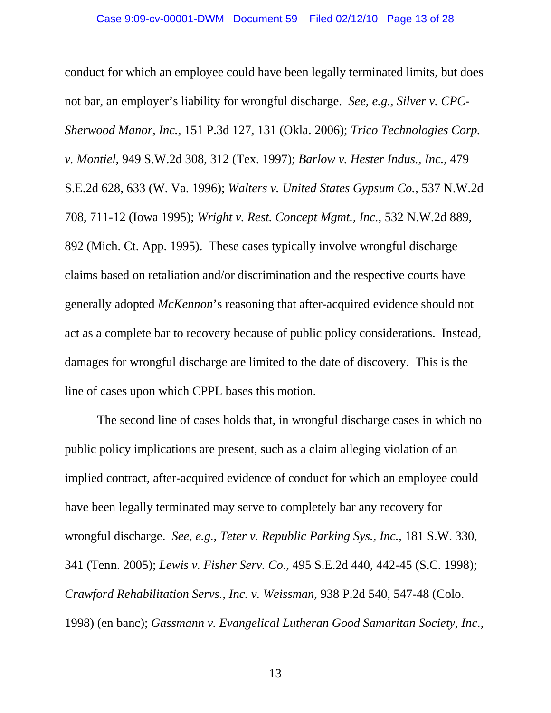conduct for which an employee could have been legally terminated limits, but does not bar, an employer's liability for wrongful discharge. *See*, *e.g.*, *Silver v. CPC-Sherwood Manor, Inc.*, 151 P.3d 127, 131 (Okla. 2006); *Trico Technologies Corp. v. Montiel*, 949 S.W.2d 308, 312 (Tex. 1997); *Barlow v. Hester Indus., Inc.*, 479 S.E.2d 628, 633 (W. Va. 1996); *Walters v. United States Gypsum Co.*, 537 N.W.2d 708, 711-12 (Iowa 1995); *Wright v. Rest. Concept Mgmt., Inc.*, 532 N.W.2d 889, 892 (Mich. Ct. App. 1995). These cases typically involve wrongful discharge claims based on retaliation and/or discrimination and the respective courts have generally adopted *McKennon*'s reasoning that after-acquired evidence should not act as a complete bar to recovery because of public policy considerations. Instead, damages for wrongful discharge are limited to the date of discovery. This is the line of cases upon which CPPL bases this motion.

The second line of cases holds that, in wrongful discharge cases in which no public policy implications are present, such as a claim alleging violation of an implied contract, after-acquired evidence of conduct for which an employee could have been legally terminated may serve to completely bar any recovery for wrongful discharge. *See*, *e.g.*, *Teter v. Republic Parking Sys., Inc.*, 181 S.W. 330, 341 (Tenn. 2005); *Lewis v. Fisher Serv. Co.*, 495 S.E.2d 440, 442-45 (S.C. 1998); *Crawford Rehabilitation Servs., Inc. v. Weissman*, 938 P.2d 540, 547-48 (Colo. 1998) (en banc); *Gassmann v. Evangelical Lutheran Good Samaritan Society, Inc.*,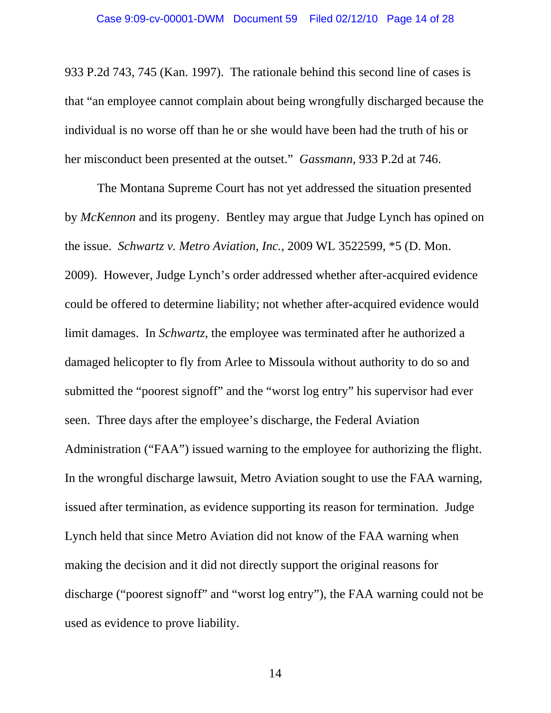933 P.2d 743, 745 (Kan. 1997). The rationale behind this second line of cases is that "an employee cannot complain about being wrongfully discharged because the individual is no worse off than he or she would have been had the truth of his or her misconduct been presented at the outset." *Gassmann*, 933 P.2d at 746.

The Montana Supreme Court has not yet addressed the situation presented by *McKennon* and its progeny. Bentley may argue that Judge Lynch has opined on the issue. *Schwartz v. Metro Aviation, Inc.*, 2009 WL 3522599, \*5 (D. Mon. 2009). However, Judge Lynch's order addressed whether after-acquired evidence could be offered to determine liability; not whether after-acquired evidence would limit damages. In *Schwartz*, the employee was terminated after he authorized a damaged helicopter to fly from Arlee to Missoula without authority to do so and submitted the "poorest signoff" and the "worst log entry" his supervisor had ever seen. Three days after the employee's discharge, the Federal Aviation Administration ("FAA") issued warning to the employee for authorizing the flight. In the wrongful discharge lawsuit, Metro Aviation sought to use the FAA warning, issued after termination, as evidence supporting its reason for termination. Judge Lynch held that since Metro Aviation did not know of the FAA warning when making the decision and it did not directly support the original reasons for discharge ("poorest signoff" and "worst log entry"), the FAA warning could not be used as evidence to prove liability.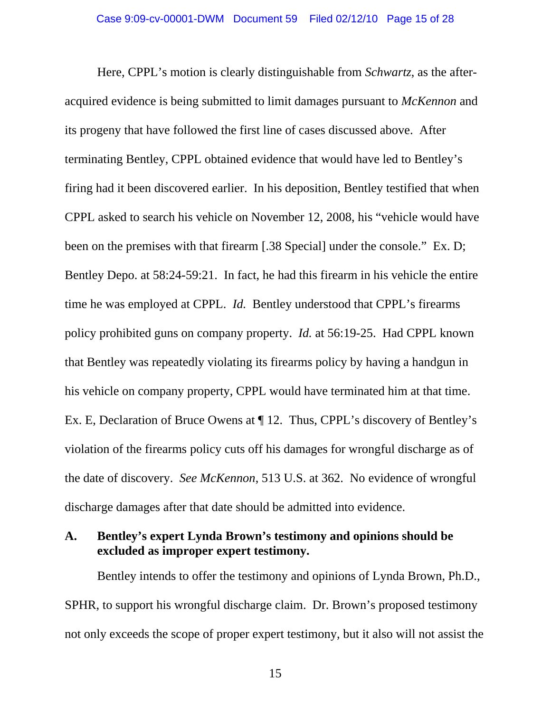Here, CPPL's motion is clearly distinguishable from *Schwartz*, as the afteracquired evidence is being submitted to limit damages pursuant to *McKennon* and its progeny that have followed the first line of cases discussed above. After terminating Bentley, CPPL obtained evidence that would have led to Bentley's firing had it been discovered earlier. In his deposition, Bentley testified that when CPPL asked to search his vehicle on November 12, 2008, his "vehicle would have been on the premises with that firearm [.38 Special] under the console." Ex. D; Bentley Depo. at 58:24-59:21. In fact, he had this firearm in his vehicle the entire time he was employed at CPPL. *Id.* Bentley understood that CPPL's firearms policy prohibited guns on company property. *Id.* at 56:19-25. Had CPPL known that Bentley was repeatedly violating its firearms policy by having a handgun in his vehicle on company property, CPPL would have terminated him at that time. Ex. E, Declaration of Bruce Owens at ¶ 12. Thus, CPPL's discovery of Bentley's violation of the firearms policy cuts off his damages for wrongful discharge as of the date of discovery. *See McKennon*, 513 U.S. at 362. No evidence of wrongful discharge damages after that date should be admitted into evidence.

#### **A. Bentley's expert Lynda Brown's testimony and opinions should be excluded as improper expert testimony.**

Bentley intends to offer the testimony and opinions of Lynda Brown, Ph.D., SPHR, to support his wrongful discharge claim. Dr. Brown's proposed testimony not only exceeds the scope of proper expert testimony, but it also will not assist the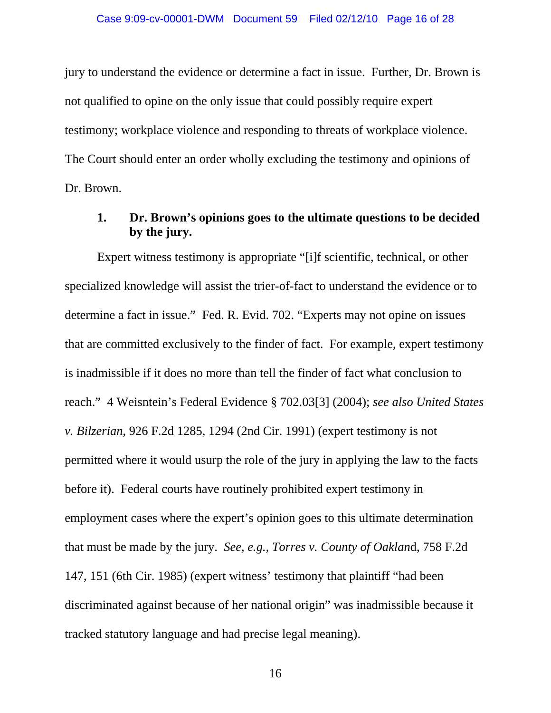jury to understand the evidence or determine a fact in issue. Further, Dr. Brown is not qualified to opine on the only issue that could possibly require expert testimony; workplace violence and responding to threats of workplace violence. The Court should enter an order wholly excluding the testimony and opinions of Dr. Brown.

## **1. Dr. Brown's opinions goes to the ultimate questions to be decided by the jury.**

Expert witness testimony is appropriate "[i]f scientific, technical, or other specialized knowledge will assist the trier-of-fact to understand the evidence or to determine a fact in issue." Fed. R. Evid. 702. "Experts may not opine on issues that are committed exclusively to the finder of fact. For example, expert testimony is inadmissible if it does no more than tell the finder of fact what conclusion to reach." 4 Weisntein's Federal Evidence § 702.03[3] (2004); *see also United States v. Bilzerian*, 926 F.2d 1285, 1294 (2nd Cir. 1991) (expert testimony is not permitted where it would usurp the role of the jury in applying the law to the facts before it). Federal courts have routinely prohibited expert testimony in employment cases where the expert's opinion goes to this ultimate determination that must be made by the jury. *See, e.g., Torres v. County of Oaklan*d, 758 F.2d 147, 151 (6th Cir. 1985) (expert witness' testimony that plaintiff "had been discriminated against because of her national origin" was inadmissible because it tracked statutory language and had precise legal meaning).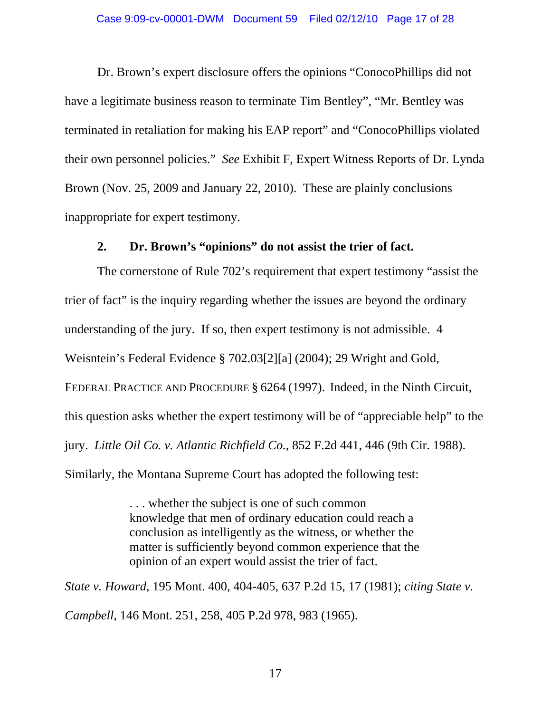Dr. Brown's expert disclosure offers the opinions "ConocoPhillips did not have a legitimate business reason to terminate Tim Bentley", "Mr. Bentley was terminated in retaliation for making his EAP report" and "ConocoPhillips violated their own personnel policies." *See* Exhibit F, Expert Witness Reports of Dr. Lynda Brown (Nov. 25, 2009 and January 22, 2010). These are plainly conclusions inappropriate for expert testimony.

#### **2. Dr. Brown's "opinions" do not assist the trier of fact.**

The cornerstone of Rule 702's requirement that expert testimony "assist the trier of fact" is the inquiry regarding whether the issues are beyond the ordinary understanding of the jury. If so, then expert testimony is not admissible. 4 Weisntein's Federal Evidence § 702.03[2][a] (2004); 29 Wright and Gold, FEDERAL PRACTICE AND PROCEDURE § 6264 (1997). Indeed, in the Ninth Circuit, this question asks whether the expert testimony will be of "appreciable help" to the jury. *Little Oil Co. v. Atlantic Richfield Co.*, 852 F.2d 441, 446 (9th Cir. 1988). Similarly, the Montana Supreme Court has adopted the following test:

> . . . whether the subject is one of such common knowledge that men of ordinary education could reach a conclusion as intelligently as the witness, or whether the matter is sufficiently beyond common experience that the opinion of an expert would assist the trier of fact.

*State v. Howard*, 195 Mont. 400, 404-405, 637 P.2d 15, 17 (1981); *citing State v. Campbell*, 146 Mont. 251, 258, 405 P.2d 978, 983 (1965).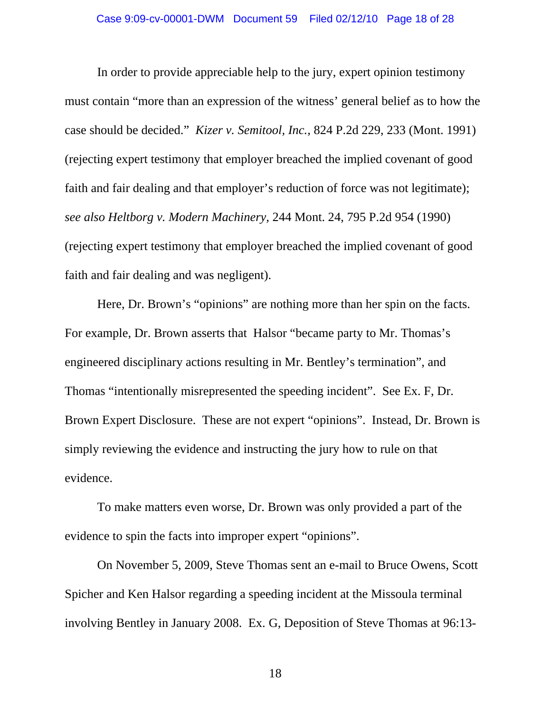In order to provide appreciable help to the jury, expert opinion testimony must contain "more than an expression of the witness' general belief as to how the case should be decided." *Kizer v. Semitool, Inc.*, 824 P.2d 229, 233 (Mont. 1991) (rejecting expert testimony that employer breached the implied covenant of good faith and fair dealing and that employer's reduction of force was not legitimate); *see also Heltborg v. Modern Machinery,* 244 Mont. 24, 795 P.2d 954 (1990) (rejecting expert testimony that employer breached the implied covenant of good faith and fair dealing and was negligent).

Here, Dr. Brown's "opinions" are nothing more than her spin on the facts. For example, Dr. Brown asserts that Halsor "became party to Mr. Thomas's engineered disciplinary actions resulting in Mr. Bentley's termination", and Thomas "intentionally misrepresented the speeding incident". See Ex. F, Dr. Brown Expert Disclosure. These are not expert "opinions". Instead, Dr. Brown is simply reviewing the evidence and instructing the jury how to rule on that evidence.

To make matters even worse, Dr. Brown was only provided a part of the evidence to spin the facts into improper expert "opinions".

On November 5, 2009, Steve Thomas sent an e-mail to Bruce Owens, Scott Spicher and Ken Halsor regarding a speeding incident at the Missoula terminal involving Bentley in January 2008. Ex. G, Deposition of Steve Thomas at 96:13-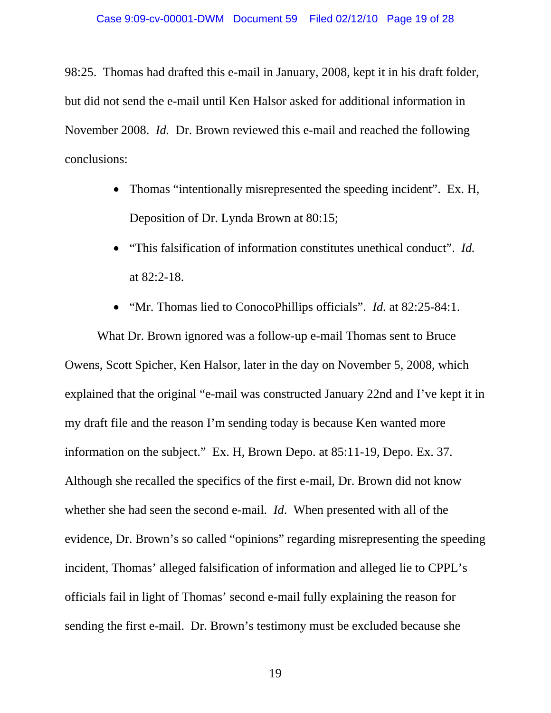98:25. Thomas had drafted this e-mail in January, 2008, kept it in his draft folder, but did not send the e-mail until Ken Halsor asked for additional information in November 2008. *Id.* Dr. Brown reviewed this e-mail and reached the following conclusions:

- Thomas "intentionally misrepresented the speeding incident". Ex. H, Deposition of Dr. Lynda Brown at 80:15;
- "This falsification of information constitutes unethical conduct". *Id.* at 82:2-18.
- "Mr. Thomas lied to ConocoPhillips officials". *Id.* at 82:25-84:1.

What Dr. Brown ignored was a follow-up e-mail Thomas sent to Bruce Owens, Scott Spicher, Ken Halsor, later in the day on November 5, 2008, which explained that the original "e-mail was constructed January 22nd and I've kept it in my draft file and the reason I'm sending today is because Ken wanted more information on the subject." Ex. H, Brown Depo. at 85:11-19, Depo. Ex. 37. Although she recalled the specifics of the first e-mail, Dr. Brown did not know whether she had seen the second e-mail. *Id*. When presented with all of the evidence, Dr. Brown's so called "opinions" regarding misrepresenting the speeding incident, Thomas' alleged falsification of information and alleged lie to CPPL's officials fail in light of Thomas' second e-mail fully explaining the reason for sending the first e-mail. Dr. Brown's testimony must be excluded because she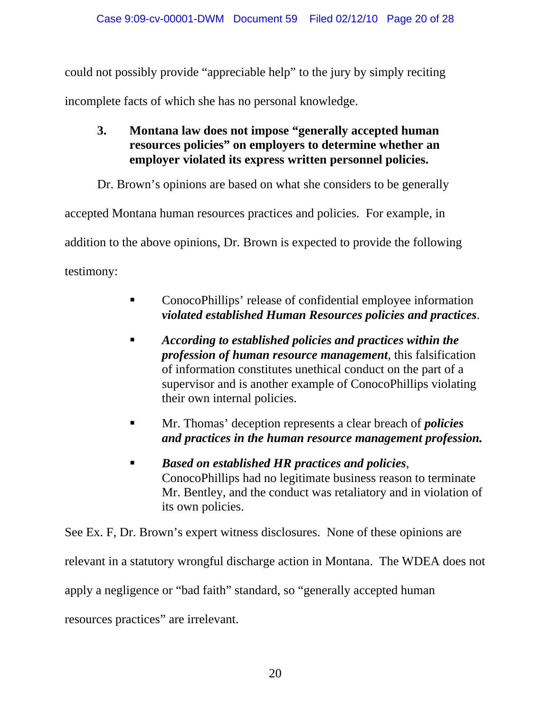could not possibly provide "appreciable help" to the jury by simply reciting incomplete facts of which she has no personal knowledge.

**3. Montana law does not impose "generally accepted human resources policies" on employers to determine whether an employer violated its express written personnel policies.** 

Dr. Brown's opinions are based on what she considers to be generally

accepted Montana human resources practices and policies. For example, in

addition to the above opinions, Dr. Brown is expected to provide the following

testimony:

- ConocoPhillips' release of confidential employee information *violated established Human Resources policies and practices*.
- *According to established policies and practices within the profession of human resource management*, this falsification of information constitutes unethical conduct on the part of a supervisor and is another example of ConocoPhillips violating their own internal policies.
- Mr. Thomas' deception represents a clear breach of *policies and practices in the human resource management profession.*
- *Based on established HR practices and policies*, ConocoPhillips had no legitimate business reason to terminate Mr. Bentley, and the conduct was retaliatory and in violation of its own policies.

See Ex. F, Dr. Brown's expert witness disclosures. None of these opinions are relevant in a statutory wrongful discharge action in Montana. The WDEA does not apply a negligence or "bad faith" standard, so "generally accepted human resources practices" are irrelevant.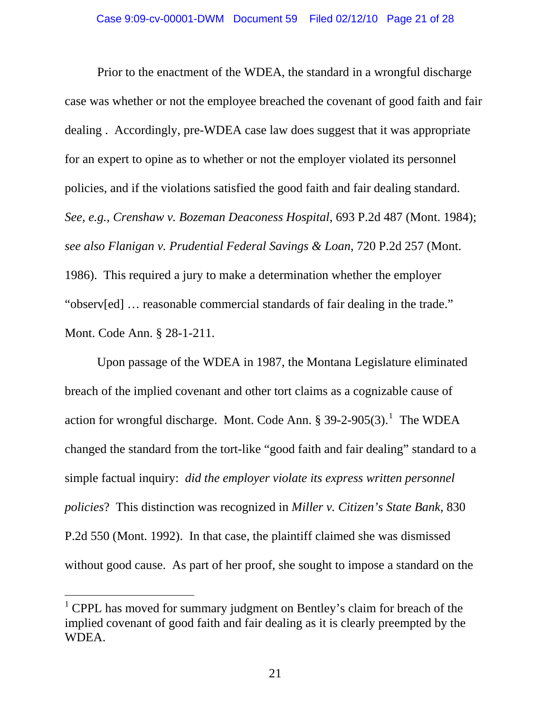Prior to the enactment of the WDEA, the standard in a wrongful discharge case was whether or not the employee breached the covenant of good faith and fair dealing . Accordingly, pre-WDEA case law does suggest that it was appropriate for an expert to opine as to whether or not the employer violated its personnel policies, and if the violations satisfied the good faith and fair dealing standard. *See, e.g., Crenshaw v. Bozeman Deaconess Hospital*, 693 P.2d 487 (Mont. 1984); *see also Flanigan v. Prudential Federal Savings & Loan*, 720 P.2d 257 (Mont. 1986). This required a jury to make a determination whether the employer "observ[ed] … reasonable commercial standards of fair dealing in the trade." Mont. Code Ann. § 28-1-211.

Upon passage of the WDEA in 1987, the Montana Legislature eliminated breach of the implied covenant and other tort claims as a cognizable cause of action for wrongful discharge. Mont. Code Ann.  $\S 39-2-905(3)$ . The WDEA changed the standard from the tort-like "good faith and fair dealing" standard to a simple factual inquiry: *did the employer violate its express written personnel policies*? This distinction was recognized in *Miller v. Citizen's State Bank*, 830 P.2d 550 (Mont. 1992). In that case, the plaintiff claimed she was dismissed without good cause. As part of her proof, she sought to impose a standard on the

 $\overline{a}$ 

<span id="page-20-0"></span><sup>&</sup>lt;sup>1</sup> CPPL has moved for summary judgment on Bentley's claim for breach of the implied covenant of good faith and fair dealing as it is clearly preempted by the WDEA.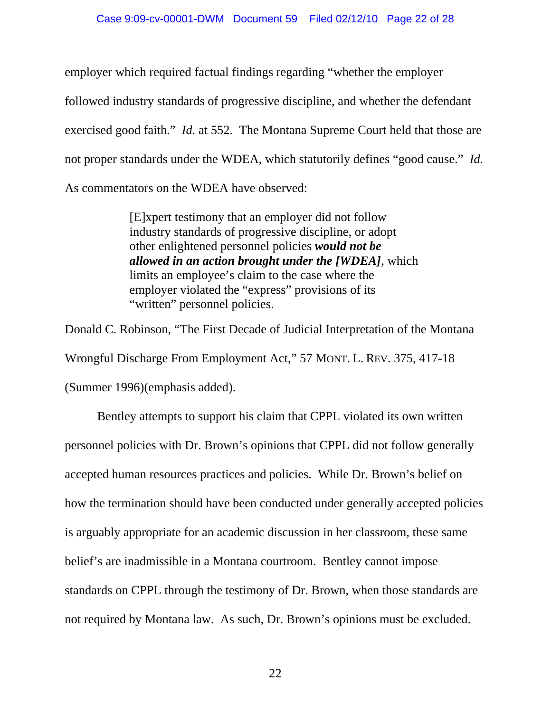employer which required factual findings regarding "whether the employer followed industry standards of progressive discipline, and whether the defendant exercised good faith." *Id.* at 552. The Montana Supreme Court held that those are not proper standards under the WDEA, which statutorily defines "good cause." *Id.* As commentators on the WDEA have observed:

> [E]xpert testimony that an employer did not follow industry standards of progressive discipline, or adopt other enlightened personnel policies *would not be allowed in an action brought under the [WDEA]*, which limits an employee's claim to the case where the employer violated the "express" provisions of its "written" personnel policies.

Donald C. Robinson, "The First Decade of Judicial Interpretation of the Montana Wrongful Discharge From Employment Act," 57 MONT. L. REV. 375, 417-18 (Summer 1996)(emphasis added).

Bentley attempts to support his claim that CPPL violated its own written personnel policies with Dr. Brown's opinions that CPPL did not follow generally accepted human resources practices and policies. While Dr. Brown's belief on how the termination should have been conducted under generally accepted policies is arguably appropriate for an academic discussion in her classroom, these same belief's are inadmissible in a Montana courtroom. Bentley cannot impose standards on CPPL through the testimony of Dr. Brown, when those standards are not required by Montana law. As such, Dr. Brown's opinions must be excluded.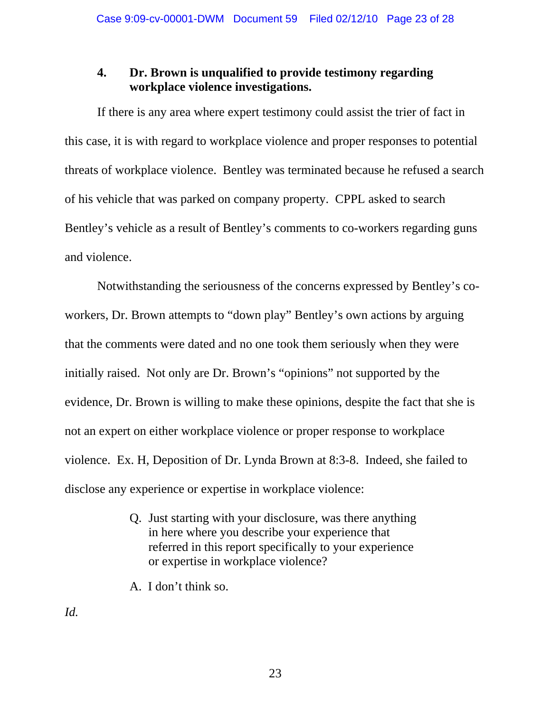#### **4. Dr. Brown is unqualified to provide testimony regarding workplace violence investigations.**

If there is any area where expert testimony could assist the trier of fact in this case, it is with regard to workplace violence and proper responses to potential threats of workplace violence. Bentley was terminated because he refused a search of his vehicle that was parked on company property. CPPL asked to search Bentley's vehicle as a result of Bentley's comments to co-workers regarding guns and violence.

Notwithstanding the seriousness of the concerns expressed by Bentley's coworkers, Dr. Brown attempts to "down play" Bentley's own actions by arguing that the comments were dated and no one took them seriously when they were initially raised. Not only are Dr. Brown's "opinions" not supported by the evidence, Dr. Brown is willing to make these opinions, despite the fact that she is not an expert on either workplace violence or proper response to workplace violence. Ex. H, Deposition of Dr. Lynda Brown at 8:3-8. Indeed, she failed to disclose any experience or expertise in workplace violence:

- Q. Just starting with your disclosure, was there anything in here where you describe your experience that referred in this report specifically to your experience or expertise in workplace violence?
- A. I don't think so.

*Id.*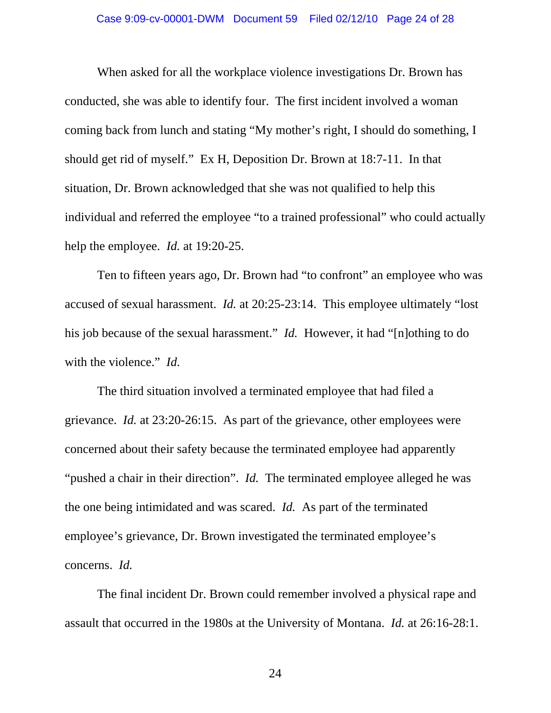When asked for all the workplace violence investigations Dr. Brown has conducted, she was able to identify four. The first incident involved a woman coming back from lunch and stating "My mother's right, I should do something, I should get rid of myself." Ex H, Deposition Dr. Brown at 18:7-11. In that situation, Dr. Brown acknowledged that she was not qualified to help this individual and referred the employee "to a trained professional" who could actually help the employee. *Id.* at 19:20-25.

Ten to fifteen years ago, Dr. Brown had "to confront" an employee who was accused of sexual harassment. *Id.* at 20:25-23:14. This employee ultimately "lost his job because of the sexual harassment." *Id.* However, it had "[n]othing to do with the violence." *Id.* 

The third situation involved a terminated employee that had filed a grievance. *Id.* at 23:20-26:15. As part of the grievance, other employees were concerned about their safety because the terminated employee had apparently "pushed a chair in their direction". *Id.* The terminated employee alleged he was the one being intimidated and was scared. *Id.* As part of the terminated employee's grievance, Dr. Brown investigated the terminated employee's concerns. *Id.* 

The final incident Dr. Brown could remember involved a physical rape and assault that occurred in the 1980s at the University of Montana. *Id.* at 26:16-28:1.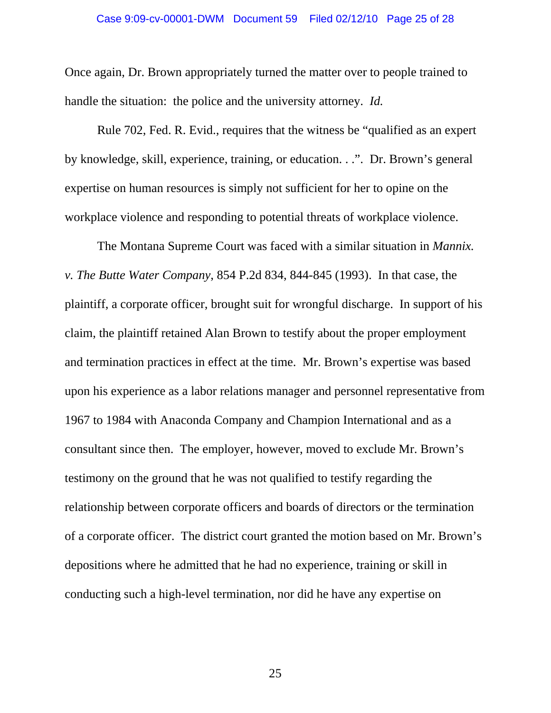Once again, Dr. Brown appropriately turned the matter over to people trained to handle the situation: the police and the university attorney. *Id.* 

Rule 702, Fed. R. Evid., requires that the witness be "qualified as an expert by knowledge, skill, experience, training, or education. . .". Dr. Brown's general expertise on human resources is simply not sufficient for her to opine on the workplace violence and responding to potential threats of workplace violence.

The Montana Supreme Court was faced with a similar situation in *Mannix. v. The Butte Water Company*, 854 P.2d 834, 844-845 (1993). In that case, the plaintiff, a corporate officer, brought suit for wrongful discharge. In support of his claim, the plaintiff retained Alan Brown to testify about the proper employment and termination practices in effect at the time. Mr. Brown's expertise was based upon his experience as a labor relations manager and personnel representative from 1967 to 1984 with Anaconda Company and Champion International and as a consultant since then. The employer, however, moved to exclude Mr. Brown's testimony on the ground that he was not qualified to testify regarding the relationship between corporate officers and boards of directors or the termination of a corporate officer. The district court granted the motion based on Mr. Brown's depositions where he admitted that he had no experience, training or skill in conducting such a high-level termination, nor did he have any expertise on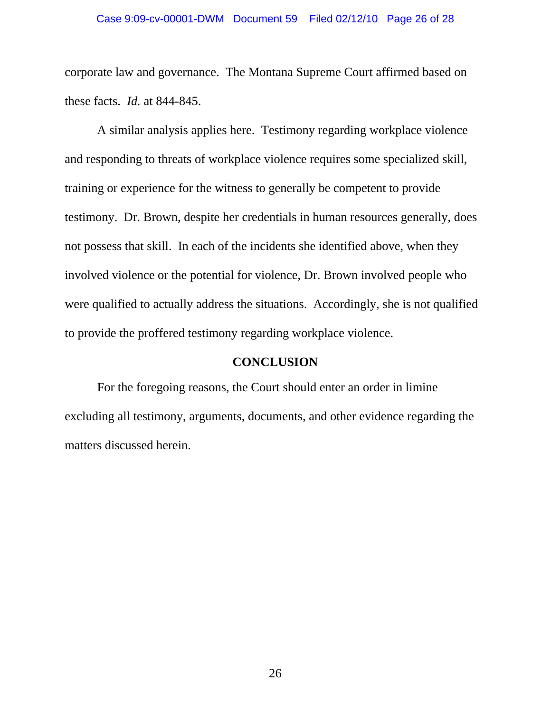corporate law and governance. The Montana Supreme Court affirmed based on these facts. *Id.* at 844-845.

A similar analysis applies here. Testimony regarding workplace violence and responding to threats of workplace violence requires some specialized skill, training or experience for the witness to generally be competent to provide testimony. Dr. Brown, despite her credentials in human resources generally, does not possess that skill. In each of the incidents she identified above, when they involved violence or the potential for violence, Dr. Brown involved people who were qualified to actually address the situations. Accordingly, she is not qualified to provide the proffered testimony regarding workplace violence.

#### **CONCLUSION**

For the foregoing reasons, the Court should enter an order in limine excluding all testimony, arguments, documents, and other evidence regarding the matters discussed herein.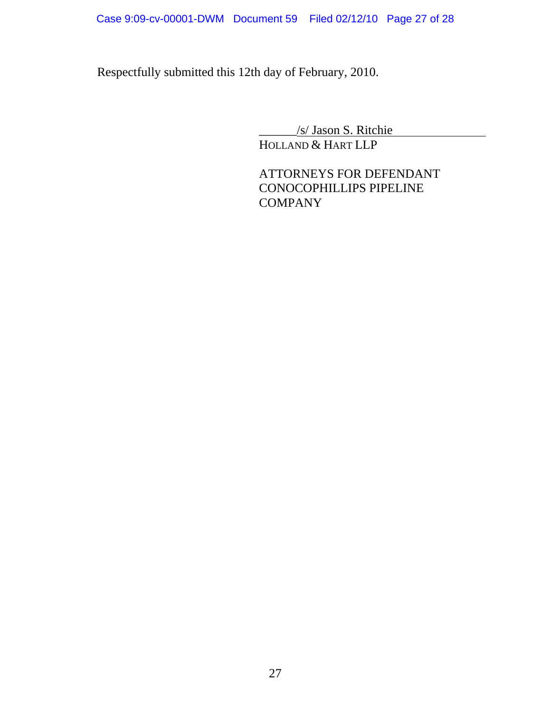Respectfully submitted this 12th day of February, 2010.

\_\_\_\_\_\_/s/ Jason S. Ritchie

HOLLAND & HART LLP

ATTORNEYS FOR DEFENDANT CONOCOPHILLIPS PIPELINE **COMPANY**